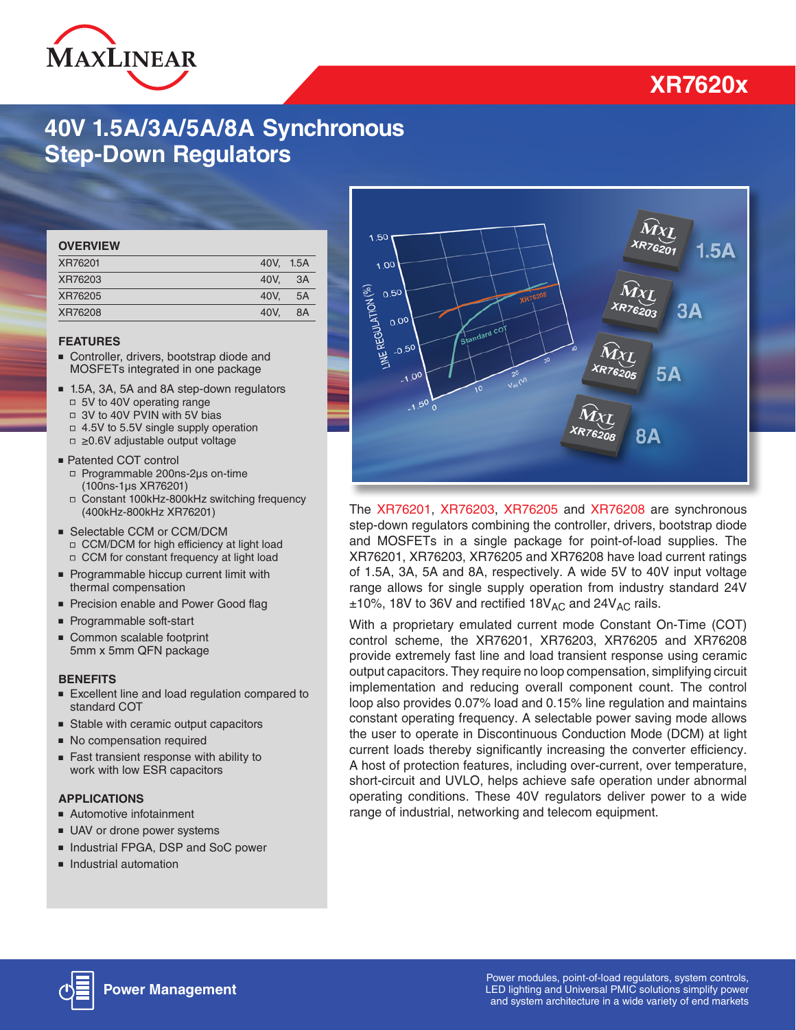

## **XR7620x**

### **40V 1.5A/3A/5A/8A Synchronous Step-Down Regulators**

| <b>OVERVIEW</b> |           |    |
|-----------------|-----------|----|
| XR76201         | 40V. 1.5A |    |
| XR76203         | 40V.      | 3A |
| XR76205         | 40V.      | 5A |
| XR76208         | 40V.      | 8A |

#### **FEATURES**

- Controller, drivers, bootstrap diode and MOSFETs integrated in one package
- 1.5A, 3A, 5A and 8A step-down regulators □ 5V to 40V operating range □ 3V to 40V PVIN with 5V bias □ 4.5V to 5.5V single supply operation
	- □ ≥0.6V adjustable output voltage
- Patented COT control ■ Programmable 200ns-2µs on-time (100ns-1µs XR76201)
	- □ Constant 100kHz-800kHz switching frequency (400kHz-800kHz XR76201)
- Selectable CCM or CCM/DCM □ CCM/DCM for high efficiency at light load □ CCM for constant frequency at light load
- Programmable hiccup current limit with thermal compensation
- Precision enable and Power Good flag
- Programmable soft-start
- Common scalable footprint 5mm x 5mm QFN package

#### **BENEFITS**

- Excellent line and load regulation compared to standard COT
- Stable with ceramic output capacitors
- No compensation required
- Fast transient response with ability to work with low ESR capacitors

#### **APPLICATIONS**

- Automotive infotainment
- UAV or drone power systems
- Industrial FPGA, DSP and SoC power
- Industrial automation



The [XR76201,](http://www.exar.com/XR76201) [XR76203,](http://www.exar.com/XR76203) [XR76205](http://www.exar.com/XR76205) and [XR76208](http://www.exar.com/XR76208) are synchronous step-down regulators combining the controller, drivers, bootstrap diode and MOSFETs in a single package for point-of-load supplies. The XR76201, XR76203, XR76205 and XR76208 have load current ratings of 1.5A, 3A, 5A and 8A, respectively. A wide 5V to 40V input voltage range allows for single supply operation from industry standard 24V  $\pm 10$ %, 18V to 36V and rectified 18V<sub>AC</sub> and 24V<sub>AC</sub> rails.

With a proprietary emulated current mode Constant On-Time (COT) control scheme, the XR76201, XR76203, XR76205 and XR76208 provide extremely fast line and load transient response using ceramic output capacitors. They require no loop compensation, simplifying circuit implementation and reducing overall component count. The control loop also provides 0.07% load and 0.15% line regulation and maintains constant operating frequency. A selectable power saving mode allows the user to operate in Discontinuous Conduction Mode (DCM) at light current loads thereby significantly increasing the converter efficiency. A host of protection features, including over-current, over temperature, short-circuit and UVLO, helps achieve safe operation under abnormal operating conditions. These 40V regulators deliver power to a wide range of industrial, networking and telecom equipment.

Power modules, point-of-load regulators, system controls, [LED lighting and Universal PMIC solutions simplify power](https://www.maxlinear.com/products/power-management)  and system architecture in a wide variety of end markets